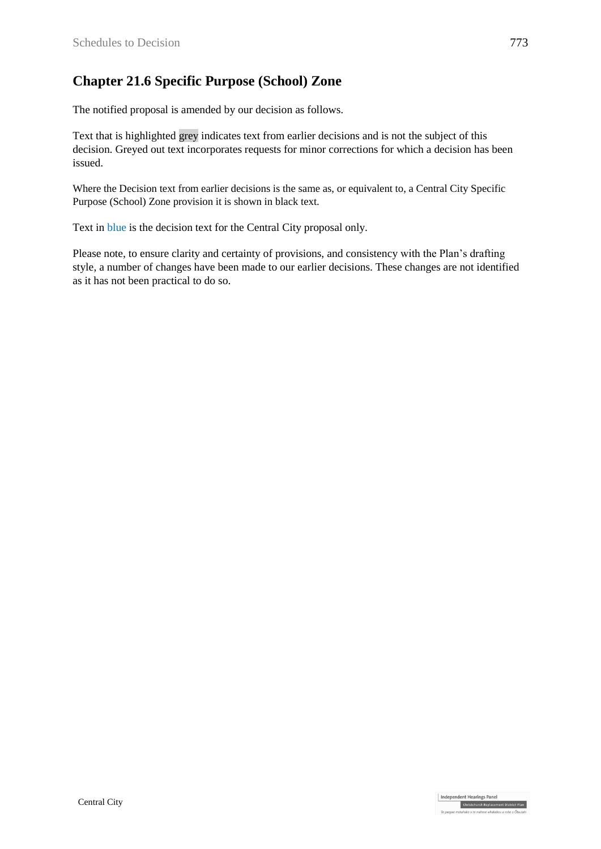### **Chapter 21.6 Specific Purpose (School) Zone**

The notified proposal is amended by our decision as follows.

Text that is highlighted grey indicates text from earlier decisions and is not the subject of this decision. Greyed out text incorporates requests for minor corrections for which a decision has been issued.

Where the Decision text from earlier decisions is the same as, or equivalent to, a Central City Specific Purpose (School) Zone provision it is shown in black text.

Text in blue is the decision text for the Central City proposal only.

Please note, to ensure clarity and certainty of provisions, and consistency with the Plan's drafting style, a number of changes have been made to our earlier decisions. These changes are not identified as it has not been practical to do so.

Independent Hearings Panel

Christchurch Replacement District Plan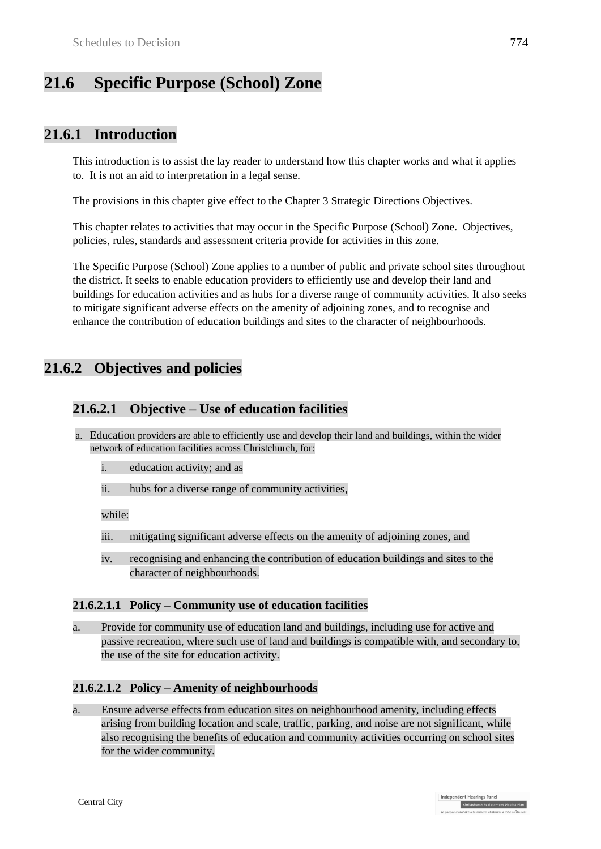# **21.6 Specific Purpose (School) Zone**

### **21.6.1 Introduction**

This introduction is to assist the lay reader to understand how this chapter works and what it applies to. It is not an aid to interpretation in a legal sense.

The provisions in this chapter give effect to the Chapter 3 Strategic Directions Objectives.

This chapter relates to activities that may occur in the Specific Purpose (School) Zone. Objectives, policies, rules, standards and assessment criteria provide for activities in this zone.

The Specific Purpose (School) Zone applies to a number of public and private school sites throughout the district. It seeks to enable education providers to efficiently use and develop their land and buildings for education activities and as hubs for a diverse range of community activities. It also seeks to mitigate significant adverse effects on the amenity of adjoining zones, and to recognise and enhance the contribution of education buildings and sites to the character of neighbourhoods.

### **21.6.2 Objectives and policies**

#### **21.6.2.1 Objective – Use of education facilities**

- a. Education providers are able to efficiently use and develop their land and buildings, within the wider network of education facilities across Christchurch, for:
	- i. education activity; and as
	- ii. hubs for a diverse range of community activities,

while:

- iii. mitigating significant adverse effects on the amenity of adjoining zones, and
- iv. recognising and enhancing the contribution of education buildings and sites to the character of neighbourhoods.

#### **21.6.2.1.1 Policy – Community use of education facilities**

a. Provide for community use of education land and buildings, including use for active and passive recreation, where such use of land and buildings is compatible with, and secondary to, the use of the site for education activity.

#### **21.6.2.1.2 Policy – Amenity of neighbourhoods**

a. Ensure adverse effects from education sites on neighbourhood amenity, including effects arising from building location and scale, traffic, parking, and noise are not significant, while also recognising the benefits of education and community activities occurring on school sites for the wider community.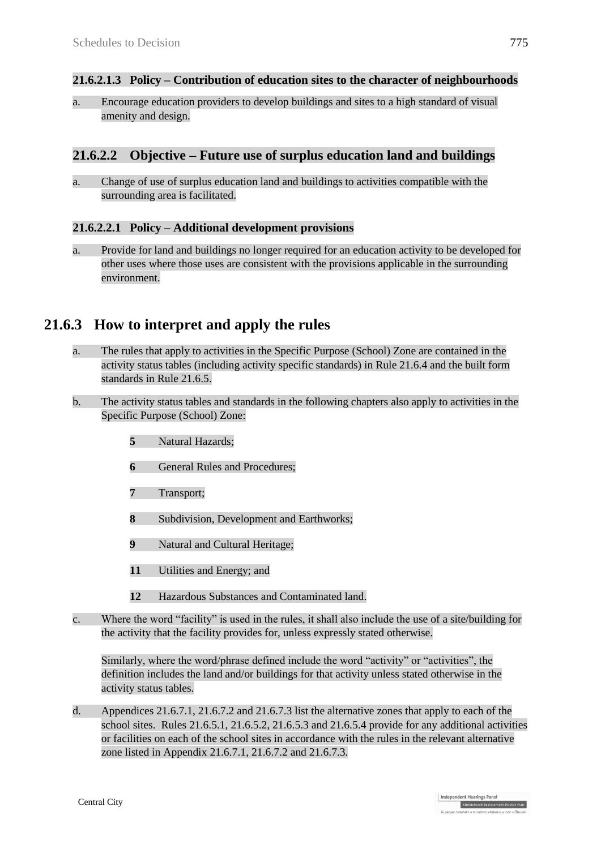#### **21.6.2.1.3 Policy – Contribution of education sites to the character of neighbourhoods**

a. Encourage education providers to develop buildings and sites to a high standard of visual amenity and design.

#### **21.6.2.2 Objective – Future use of surplus education land and buildings**

a. Change of use of surplus education land and buildings to activities compatible with the surrounding area is facilitated.

#### **21.6.2.2.1 Policy – Additional development provisions**

a. Provide for land and buildings no longer required for an education activity to be developed for other uses where those uses are consistent with the provisions applicable in the surrounding environment.

### **21.6.3 How to interpret and apply the rules**

- a. The rules that apply to activities in the Specific Purpose (School) Zone are contained in the activity status tables (including activity specific standards) in Rule 21.6.4 and the built form standards in Rule 21.6.5.
- b. The activity status tables and standards in the following chapters also apply to activities in the Specific Purpose (School) Zone:
	- **5** Natural Hazards;
	- **6** General Rules and Procedures:
	- **7** Transport;
	- **8** Subdivision, Development and Earthworks;
	- **9** Natural and Cultural Heritage;
	- **11** Utilities and Energy; and
	- **12** Hazardous Substances and Contaminated land.
- c. Where the word "facility" is used in the rules, it shall also include the use of a site/building for the activity that the facility provides for, unless expressly stated otherwise.

Similarly, where the word/phrase defined include the word "activity" or "activities", the definition includes the land and/or buildings for that activity unless stated otherwise in the activity status tables.

d. Appendices 21.6.7.1, 21.6.7.2 and 21.6.7.3 list the alternative zones that apply to each of the school sites. Rules 21.6.5.1, 21.6.5.2, 21.6.5.3 and 21.6.5.4 provide for any additional activities or facilities on each of the school sites in accordance with the rules in the relevant alternative zone listed in Appendix 21.6.7.1, 21.6.7.2 and 21.6.7.3.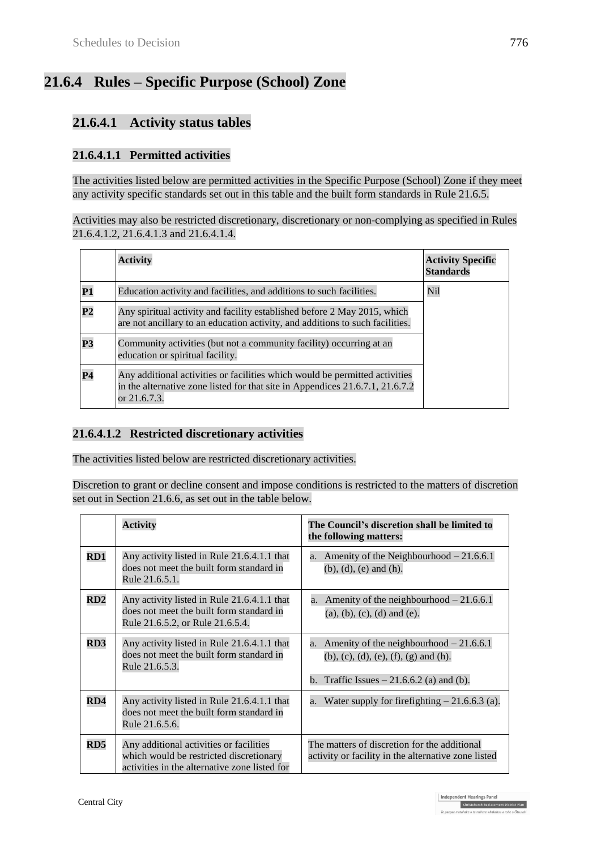# **21.6.4 Rules – Specific Purpose (School) Zone**

### **21.6.4.1 Activity status tables**

#### **21.6.4.1.1 Permitted activities**

The activities listed below are permitted activities in the Specific Purpose (School) Zone if they meet any activity specific standards set out in this table and the built form standards in Rule 21.6.5.

Activities may also be restricted discretionary, discretionary or non-complying as specified in Rules 21.6.4.1.2, 21.6.4.1.3 and 21.6.4.1.4.

|                | <b>Activity</b>                                                                                                                                                              | <b>Activity Specific</b><br><b>Standards</b> |
|----------------|------------------------------------------------------------------------------------------------------------------------------------------------------------------------------|----------------------------------------------|
| <b>P1</b>      | Education activity and facilities, and additions to such facilities.                                                                                                         | Nil                                          |
| P <sub>2</sub> | Any spiritual activity and facility established before 2 May 2015, which<br>are not ancillary to an education activity, and additions to such facilities.                    |                                              |
| <b>P3</b>      | Community activities (but not a community facility) occurring at an<br>education or spiritual facility.                                                                      |                                              |
| P <sub>4</sub> | Any additional activities or facilities which would be permitted activities<br>in the alternative zone listed for that site in Appendices 21.6.7.1, 21.6.7.2<br>or 21.6.7.3. |                                              |

#### **21.6.4.1.2 Restricted discretionary activities**

The activities listed below are restricted discretionary activities.

Discretion to grant or decline consent and impose conditions is restricted to the matters of discretion set out in Section 21.6.6, as set out in the table below.

|     | <b>Activity</b>                                                                                                                     | The Council's discretion shall be limited to<br>the following matters:                                                                   |
|-----|-------------------------------------------------------------------------------------------------------------------------------------|------------------------------------------------------------------------------------------------------------------------------------------|
| RD1 | Any activity listed in Rule 21.6.4.1.1 that<br>does not meet the built form standard in<br>Rule 21.6.5.1.                           | Amenity of the Neighbourhood $-21.6.6.1$<br>a.<br>$(b)$ , $(d)$ , $(e)$ and $(h)$ .                                                      |
| RD2 | Any activity listed in Rule 21.6.4.1.1 that<br>does not meet the built form standard in<br>Rule 21.6.5.2, or Rule 21.6.5.4.         | Amenity of the neighbourhood $-21.6.6.1$<br>a.<br>$(a), (b), (c), (d)$ and $(e).$                                                        |
| RD3 | Any activity listed in Rule 21.6.4.1.1 that<br>does not meet the built form standard in<br>Rule 21.6.5.3.                           | Amenity of the neighbourhood $-21.6.6.1$<br>a.<br>$(b)$ , (c), (d), (e), (f), (g) and (h).<br>b. Traffic Issues $-21.6.6.2$ (a) and (b). |
| RD4 | Any activity listed in Rule 21.6.4.1.1 that<br>does not meet the built form standard in<br>Rule 21.6.5.6.                           | a. Water supply for firefighting $-21.6.6.3$ (a).                                                                                        |
| RD5 | Any additional activities or facilities<br>which would be restricted discretionary<br>activities in the alternative zone listed for | The matters of discretion for the additional<br>activity or facility in the alternative zone listed                                      |

Independent Hearings Panel

Christchurch Replacement District Plan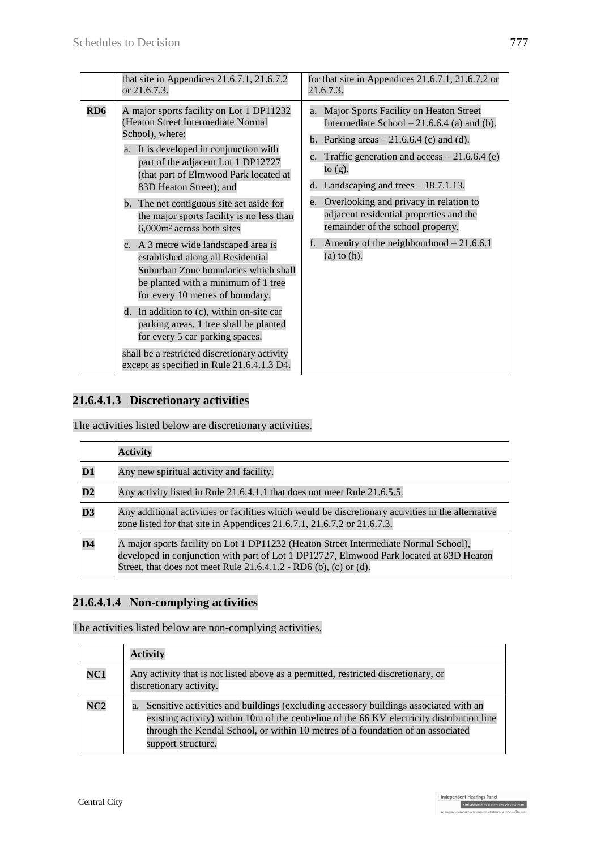| that site in Appendices $21.6.7.1$ , $21.6.7.2$                                                                                                                                                                                                                                                                                                                                                                                                                                                                                                                                                                                                                                                                                                                          | for that site in Appendices $21.6.7.1$ , $21.6.7.2$ or                                                                                                                                                                                                                                                                                                                                                                                                                 |
|--------------------------------------------------------------------------------------------------------------------------------------------------------------------------------------------------------------------------------------------------------------------------------------------------------------------------------------------------------------------------------------------------------------------------------------------------------------------------------------------------------------------------------------------------------------------------------------------------------------------------------------------------------------------------------------------------------------------------------------------------------------------------|------------------------------------------------------------------------------------------------------------------------------------------------------------------------------------------------------------------------------------------------------------------------------------------------------------------------------------------------------------------------------------------------------------------------------------------------------------------------|
| or 21.6.7.3.                                                                                                                                                                                                                                                                                                                                                                                                                                                                                                                                                                                                                                                                                                                                                             | 21.6.7.3.                                                                                                                                                                                                                                                                                                                                                                                                                                                              |
| RD6<br>A major sports facility on Lot 1 DP11232<br>(Heaton Street Intermediate Normal<br>School), where:<br>a. It is developed in conjunction with<br>part of the adjacent Lot 1 DP12727<br>(that part of Elmwood Park located at<br>83D Heaton Street); and<br>b. The net contiguous site set aside for<br>the major sports facility is no less than<br>6,000m <sup>2</sup> across both sites<br>c. A 3 metre wide landscaped area is<br>established along all Residential<br>Suburban Zone boundaries which shall<br>be planted with a minimum of 1 tree<br>for every 10 metres of boundary.<br>d. In addition to (c), within on-site car<br>parking areas, 1 tree shall be planted<br>for every 5 car parking spaces.<br>shall be a restricted discretionary activity | Major Sports Facility on Heaton Street<br>a.<br>Intermediate School $-21.6.6.4$ (a) and (b).<br>b. Parking areas $-21.6.6.4$ (c) and (d).<br>Traffic generation and $access - 21.6.6.4$ (e)<br>$\mathbf{c}$ .<br>to $(g)$ .<br>d. Landscaping and trees $-18.7.1.13$ .<br>Overlooking and privacy in relation to<br>e.<br>adjacent residential properties and the<br>remainder of the school property.<br>Amenity of the neighbourhood $-21.6.6.1$<br>$(a)$ to $(h)$ . |

#### **21.6.4.1.3 Discretionary activities**

The activities listed below are discretionary activities.

|                          | <b>Activity</b>                                                                                                                                                                                                                                        |  |  |
|--------------------------|--------------------------------------------------------------------------------------------------------------------------------------------------------------------------------------------------------------------------------------------------------|--|--|
| $\mathbf{D1}$            | Any new spiritual activity and facility.                                                                                                                                                                                                               |  |  |
| $\overline{D2}$          | Any activity listed in Rule 21.6.4.1.1 that does not meet Rule 21.6.5.5.                                                                                                                                                                               |  |  |
| $\overline{\mathbf{D}3}$ | Any additional activities or facilities which would be discretionary activities in the alternative<br>zone listed for that site in Appendices 21.6.7.1, 21.6.7.2 or 21.6.7.3.                                                                          |  |  |
| $\overline{D4}$          | A major sports facility on Lot 1 DP11232 (Heaton Street Intermediate Normal School),<br>developed in conjunction with part of Lot 1 DP12727, Elmwood Park located at 83D Heaton<br>Street, that does not meet Rule $21.6.4.1.2$ - RD6 (b), (c) or (d). |  |  |

### **21.6.4.1.4 Non-complying activities**

The activities listed below are non-complying activities.

|     | <b>Activity</b>                                                                                                                                                                                                                                                                                   |
|-----|---------------------------------------------------------------------------------------------------------------------------------------------------------------------------------------------------------------------------------------------------------------------------------------------------|
| NC1 | Any activity that is not listed above as a permitted, restricted discretionary, or<br>discretionary activity.                                                                                                                                                                                     |
| NC2 | Sensitive activities and buildings (excluding accessory buildings associated with an<br>a.<br>existing activity) within 10m of the centreline of the 66 KV electricity distribution line<br>through the Kendal School, or within 10 metres of a foundation of an associated<br>support structure. |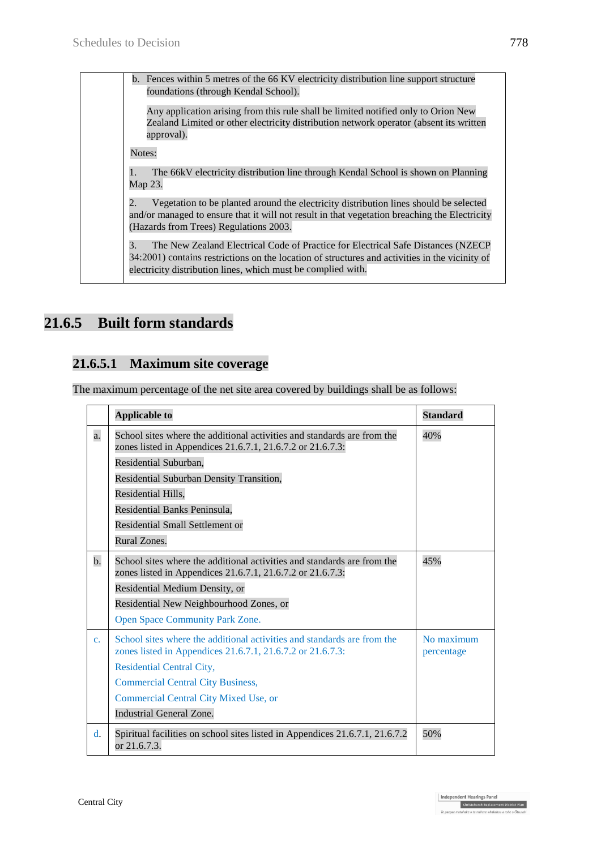b. Fences within 5 metres of the 66 KV electricity distribution line support structure foundations (through Kendal School).

Any application arising from this rule shall be limited notified only to Orion New Zealand Limited or other electricity distribution network operator (absent its written approval).

Notes:

1. The 66kV electricity distribution line through Kendal School is shown on Planning Map 23.

2. Vegetation to be planted around the electricity distribution lines should be selected and/or managed to ensure that it will not result in that vegetation breaching the Electricity (Hazards from Trees) Regulations 2003.

3. The New Zealand Electrical Code of Practice for Electrical Safe Distances (NZECP 34:2001) contains restrictions on the location of structures and activities in the vicinity of electricity distribution lines, which must be complied with.

# **21.6.5 Built form standards**

### **21.6.5.1 Maximum site coverage**

The maximum percentage of the net site area covered by buildings shall be as follows:

|                | <b>Applicable to</b>                                                                                                                  | <b>Standard</b>          |
|----------------|---------------------------------------------------------------------------------------------------------------------------------------|--------------------------|
| a.             | School sites where the additional activities and standards are from the<br>zones listed in Appendices 21.6.7.1, 21.6.7.2 or 21.6.7.3: | 40%                      |
|                | Residential Suburban,                                                                                                                 |                          |
|                | Residential Suburban Density Transition,                                                                                              |                          |
|                | Residential Hills,                                                                                                                    |                          |
|                | Residential Banks Peninsula,                                                                                                          |                          |
|                | <b>Residential Small Settlement or</b>                                                                                                |                          |
|                | Rural Zones.                                                                                                                          |                          |
| $b$ .          | School sites where the additional activities and standards are from the<br>zones listed in Appendices 21.6.7.1, 21.6.7.2 or 21.6.7.3: | 45%                      |
|                | Residential Medium Density, or                                                                                                        |                          |
|                | Residential New Neighbourhood Zones, or                                                                                               |                          |
|                | <b>Open Space Community Park Zone.</b>                                                                                                |                          |
| C <sub>1</sub> | School sites where the additional activities and standards are from the<br>zones listed in Appendices 21.6.7.1, 21.6.7.2 or 21.6.7.3: | No maximum<br>percentage |
|                | <b>Residential Central City,</b>                                                                                                      |                          |
|                | <b>Commercial Central City Business,</b>                                                                                              |                          |
|                | Commercial Central City Mixed Use, or                                                                                                 |                          |
|                | <b>Industrial General Zone.</b>                                                                                                       |                          |
| $\mathbf{d}$ . | Spiritual facilities on school sites listed in Appendices 21.6.7.1, 21.6.7.2<br>or 21.6.7.3.                                          | 50%                      |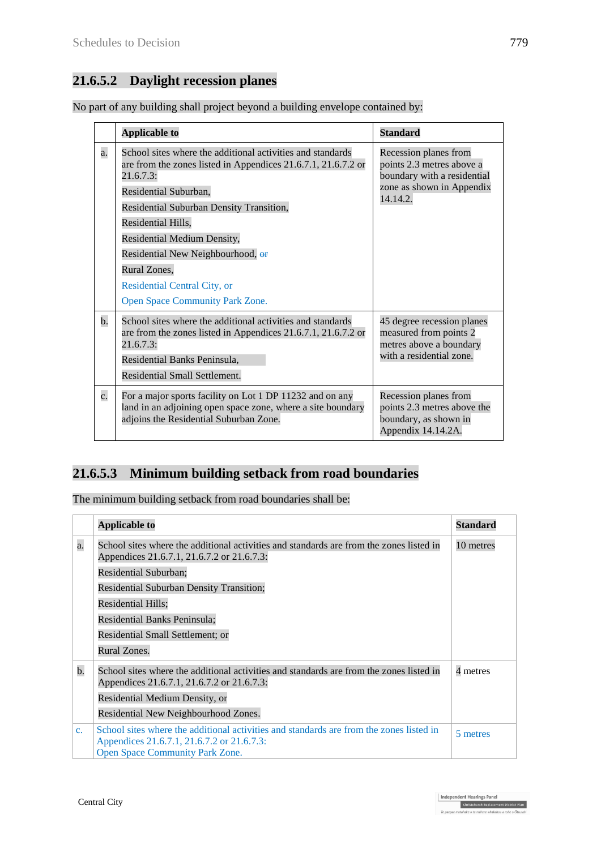# **21.6.5.2 Daylight recession planes**

|  |  |  | No part of any building shall project beyond a building envelope contained by: |  |
|--|--|--|--------------------------------------------------------------------------------|--|
|  |  |  |                                                                                |  |

|                  | <b>Applicable to</b>                                                                                                                                                                                                                                                                                                                                                                       | <b>Standard</b>                                                                                                            |
|------------------|--------------------------------------------------------------------------------------------------------------------------------------------------------------------------------------------------------------------------------------------------------------------------------------------------------------------------------------------------------------------------------------------|----------------------------------------------------------------------------------------------------------------------------|
| a.               | School sites where the additional activities and standards<br>are from the zones listed in Appendices 21.6.7.1, 21.6.7.2 or<br>21.6.7.3:<br>Residential Suburban,<br>Residential Suburban Density Transition,<br>Residential Hills,<br>Residential Medium Density,<br>Residential New Neighbourhood, or<br>Rural Zones,<br>Residential Central City, or<br>Open Space Community Park Zone. | Recession planes from<br>points 2.3 metres above a<br>boundary with a residential<br>zone as shown in Appendix<br>14.14.2. |
| $\mathbf b$ .    | School sites where the additional activities and standards<br>are from the zones listed in Appendices 21.6.7.1, 21.6.7.2 or<br>21.6.7.3<br>Residential Banks Peninsula,<br>Residential Small Settlement.                                                                                                                                                                                   | 45 degree recession planes<br>measured from points 2<br>metres above a boundary<br>with a residential zone.                |
| $\overline{c}$ . | For a major sports facility on Lot 1 DP 11232 and on any<br>land in an adjoining open space zone, where a site boundary<br>adjoins the Residential Suburban Zone.                                                                                                                                                                                                                          | Recession planes from<br>points 2.3 metres above the<br>boundary, as shown in<br>Appendix 14.14.2A.                        |

### **21.6.5.3 Minimum building setback from road boundaries**

The minimum building setback from road boundaries shall be:

|                | <b>Applicable to</b>                                                                                                                                                            | <b>Standard</b> |
|----------------|---------------------------------------------------------------------------------------------------------------------------------------------------------------------------------|-----------------|
| $\mathbf{a}$ . | School sites where the additional activities and standards are from the zones listed in<br>Appendices 21.6.7.1, 21.6.7.2 or 21.6.7.3:                                           | 10 metres       |
|                | Residential Suburban;                                                                                                                                                           |                 |
|                | <b>Residential Suburban Density Transition;</b>                                                                                                                                 |                 |
|                | Residential Hills;                                                                                                                                                              |                 |
|                | Residential Banks Peninsula;                                                                                                                                                    |                 |
|                | Residential Small Settlement; or                                                                                                                                                |                 |
|                | Rural Zones.                                                                                                                                                                    |                 |
| $\mathbf b$ .  | School sites where the additional activities and standards are from the zones listed in<br>Appendices 21.6.7.1, 21.6.7.2 or 21.6.7.3:                                           | 4 metres        |
|                | Residential Medium Density, or                                                                                                                                                  |                 |
|                | Residential New Neighbourhood Zones.                                                                                                                                            |                 |
| C <sub>1</sub> | School sites where the additional activities and standards are from the zones listed in<br>Appendices 21.6.7.1, 21.6.7.2 or 21.6.7.3:<br><b>Open Space Community Park Zone.</b> | 5 metres        |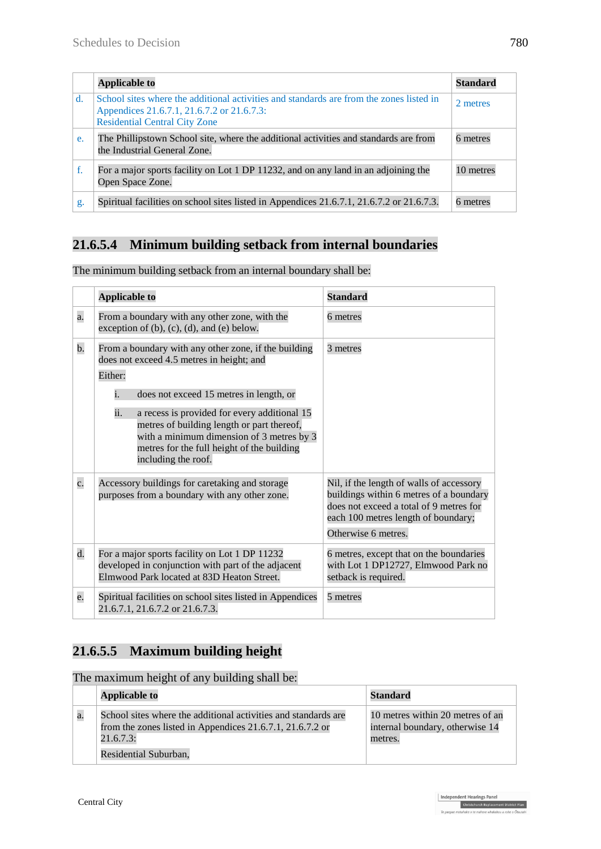|             | <b>Applicable to</b>                                                                                                                                                          | <b>Standard</b> |
|-------------|-------------------------------------------------------------------------------------------------------------------------------------------------------------------------------|-----------------|
| $d_{\cdot}$ | School sites where the additional activities and standards are from the zones listed in<br>Appendices 21.6.7.1, 21.6.7.2 or 21.6.7.3:<br><b>Residential Central City Zone</b> | 2 metres        |
| e.          | The Phillipstown School site, where the additional activities and standards are from<br>the Industrial General Zone.                                                          | 6 metres        |
| f.          | For a major sports facility on Lot 1 DP 11232, and on any land in an adjoining the<br>Open Space Zone.                                                                        | 10 metres       |
| g.          | Spiritual facilities on school sites listed in Appendices 21.6.7.1, 21.6.7.2 or 21.6.7.3.                                                                                     | 6 metres        |

# **21.6.5.4 Minimum building setback from internal boundaries**

|                  | <b>Applicable to</b>                                                                                                                                                                                                | <b>Standard</b>                                                                                                                                                                              |
|------------------|---------------------------------------------------------------------------------------------------------------------------------------------------------------------------------------------------------------------|----------------------------------------------------------------------------------------------------------------------------------------------------------------------------------------------|
| $\overline{a}$ . | From a boundary with any other zone, with the<br>exception of $(b)$ , $(c)$ , $(d)$ , and $(e)$ below.                                                                                                              | 6 metres                                                                                                                                                                                     |
| $\mathbf b$ .    | From a boundary with any other zone, if the building<br>does not exceed 4.5 metres in height; and<br>Either:                                                                                                        | 3 metres                                                                                                                                                                                     |
|                  | does not exceed 15 metres in length, or<br>i.                                                                                                                                                                       |                                                                                                                                                                                              |
|                  | ii.<br>a recess is provided for every additional 15<br>metres of building length or part thereof,<br>with a minimum dimension of 3 metres by 3<br>metres for the full height of the building<br>including the roof. |                                                                                                                                                                                              |
| $\overline{c}$ . | Accessory buildings for caretaking and storage<br>purposes from a boundary with any other zone.                                                                                                                     | Nil, if the length of walls of accessory<br>buildings within 6 metres of a boundary<br>does not exceed a total of 9 metres for<br>each 100 metres length of boundary;<br>Otherwise 6 metres. |
| $\overline{d}$ . | For a major sports facility on Lot 1 DP 11232<br>developed in conjunction with part of the adjacent<br>Elmwood Park located at 83D Heaton Street.                                                                   | 6 metres, except that on the boundaries<br>with Lot 1 DP12727, Elmwood Park no<br>setback is required.                                                                                       |
| e.               | Spiritual facilities on school sites listed in Appendices<br>21.6.7.1, 21.6.7.2 or 21.6.7.3.                                                                                                                        | 5 metres                                                                                                                                                                                     |

The minimum building setback from an internal boundary shall be:

# **21.6.5.5 Maximum building height**

The maximum height of any building shall be:

|    | <b>Applicable to</b>                                                                                                                                              | Standard                                                                       |
|----|-------------------------------------------------------------------------------------------------------------------------------------------------------------------|--------------------------------------------------------------------------------|
| a. | School sites where the additional activities and standards are<br>from the zones listed in Appendices 21.6.7.1, 21.6.7.2 or<br>21.6.7.3:<br>Residential Suburban. | 10 metres within 20 metres of an<br>internal boundary, otherwise 14<br>metres. |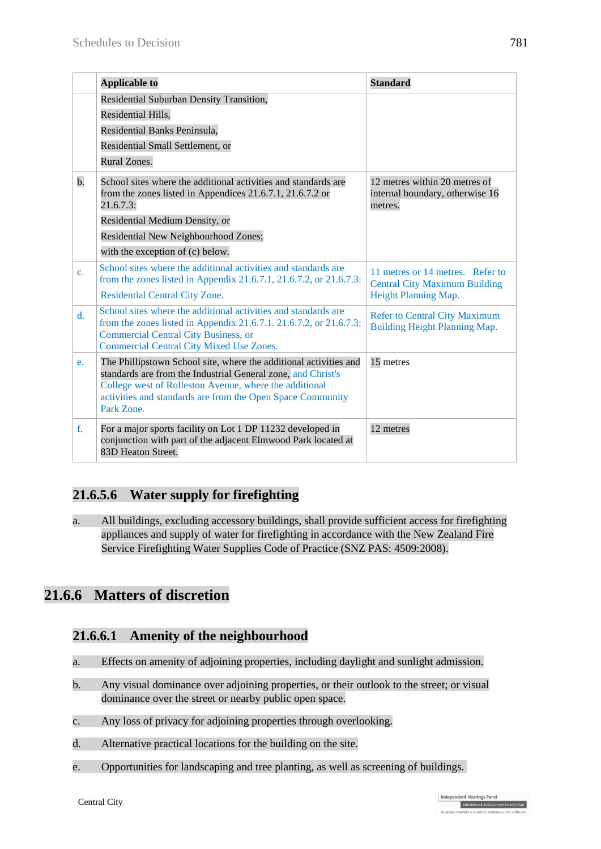|                | <b>Applicable to</b>                                                                                                                                                                                                                                                    | <b>Standard</b>                                                             |
|----------------|-------------------------------------------------------------------------------------------------------------------------------------------------------------------------------------------------------------------------------------------------------------------------|-----------------------------------------------------------------------------|
|                | Residential Suburban Density Transition,                                                                                                                                                                                                                                |                                                                             |
|                | Residential Hills,                                                                                                                                                                                                                                                      |                                                                             |
|                | Residential Banks Peninsula,                                                                                                                                                                                                                                            |                                                                             |
|                | Residential Small Settlement, or                                                                                                                                                                                                                                        |                                                                             |
|                | Rural Zones.                                                                                                                                                                                                                                                            |                                                                             |
| $b$ .          | School sites where the additional activities and standards are<br>from the zones listed in Appendices 21.6.7.1, 21.6.7.2 or<br>21.6.7.3:                                                                                                                                | 12 metres within 20 metres of<br>internal boundary, otherwise 16<br>metres. |
|                | Residential Medium Density, or                                                                                                                                                                                                                                          |                                                                             |
|                | Residential New Neighbourhood Zones;                                                                                                                                                                                                                                    |                                                                             |
|                | with the exception of (c) below.                                                                                                                                                                                                                                        |                                                                             |
| $\mathbf{c}$ . | School sites where the additional activities and standards are<br>from the zones listed in Appendix 21.6.7.1, 21.6.7.2, or 21.6.7.3:                                                                                                                                    | 11 metres or 14 metres. Refer to<br><b>Central City Maximum Building</b>    |
|                | <b>Residential Central City Zone.</b>                                                                                                                                                                                                                                   | Height Planning Map.                                                        |
| $\mathbf{d}$ . | School sites where the additional activities and standards are<br>from the zones listed in Appendix 21.6.7.1. 21.6.7.2, or 21.6.7.3:<br><b>Commercial Central City Business, or</b><br><b>Commercial Central City Mixed Use Zones.</b>                                  | <b>Refer to Central City Maximum</b><br>Building Height Planning Map.       |
| e.             | The Phillipstown School site, where the additional activities and<br>standards are from the Industrial General zone, and Christ's<br>College west of Rolleston Avenue, where the additional<br>activities and standards are from the Open Space Community<br>Park Zone. | 15 metres                                                                   |
| f.             | For a major sports facility on Lot 1 DP 11232 developed in<br>conjunction with part of the adjacent Elmwood Park located at<br>83D Heaton Street.                                                                                                                       | 12 metres                                                                   |

### **21.6.5.6 Water supply for firefighting**

a. All buildings, excluding accessory buildings, shall provide sufficient access for firefighting appliances and supply of water for firefighting in accordance with the New Zealand Fire Service Firefighting Water Supplies Code of Practice (SNZ PAS: 4509:2008).

## **21.6.6 Matters of discretion**

### **21.6.6.1 Amenity of the neighbourhood**

- a. Effects on amenity of adjoining properties, including daylight and sunlight admission.
- b. Any visual dominance over adjoining properties, or their outlook to the street; or visual dominance over the street or nearby public open space.
- c. Any loss of privacy for adjoining properties through overlooking.
- d. Alternative practical locations for the building on the site.
- e. Opportunities for landscaping and tree planting, as well as screening of buildings.

Independent Hearings Panel

Christchurch Replacement District Plan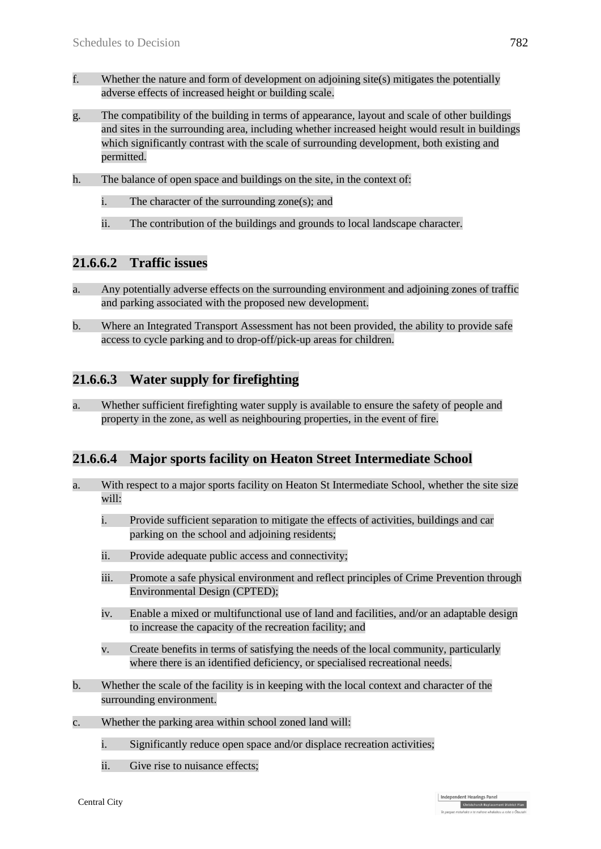- f. Whether the nature and form of development on adjoining site(s) mitigates the potentially adverse effects of increased height or building scale.
- g. The compatibility of the building in terms of appearance, layout and scale of other buildings and sites in the surrounding area, including whether increased height would result in buildings which significantly contrast with the scale of surrounding development, both existing and permitted.
- h. The balance of open space and buildings on the site, in the context of:
	- i. The character of the surrounding zone(s); and
	- ii. The contribution of the buildings and grounds to local landscape character.

### **21.6.6.2 Traffic issues**

- a. Any potentially adverse effects on the surrounding environment and adjoining zones of traffic and parking associated with the proposed new development.
- b. Where an Integrated Transport Assessment has not been provided, the ability to provide safe access to cycle parking and to drop-off/pick-up areas for children.

### **21.6.6.3 Water supply for firefighting**

a. Whether sufficient firefighting water supply is available to ensure the safety of people and property in the zone, as well as neighbouring properties, in the event of fire.

#### **21.6.6.4 Major sports facility on Heaton Street Intermediate School**

- a. With respect to a major sports facility on Heaton St Intermediate School, whether the site size will:
	- i. Provide sufficient separation to mitigate the effects of activities, buildings and car parking on the school and adjoining residents;
	- ii. Provide adequate public access and connectivity;
	- iii. Promote a safe physical environment and reflect principles of Crime Prevention through Environmental Design (CPTED);
	- iv. Enable a mixed or multifunctional use of land and facilities, and/or an adaptable design to increase the capacity of the recreation facility; and
	- v. Create benefits in terms of satisfying the needs of the local community, particularly where there is an identified deficiency, or specialised recreational needs.
- b. Whether the scale of the facility is in keeping with the local context and character of the surrounding environment.
- c. Whether the parking area within school zoned land will:
	- i. Significantly reduce open space and/or displace recreation activities;
	- ii. Give rise to nuisance effects;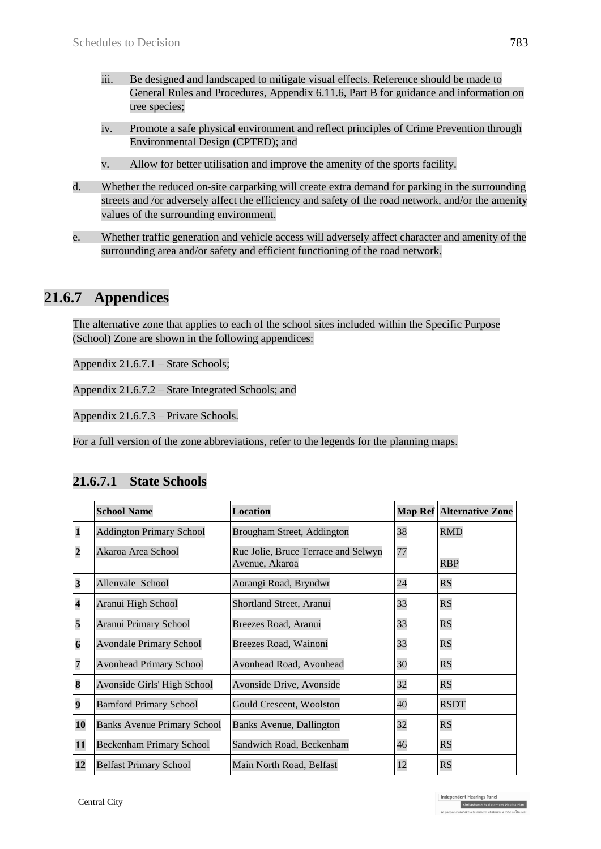- iii. Be designed and landscaped to mitigate visual effects. Reference should be made to General Rules and Procedures, Appendix 6.11.6, Part B for guidance and information on tree species;
- iv. Promote a safe physical environment and reflect principles of Crime Prevention through Environmental Design (CPTED); and
- v. Allow for better utilisation and improve the amenity of the sports facility.
- d. Whether the reduced on-site carparking will create extra demand for parking in the surrounding streets and /or adversely affect the efficiency and safety of the road network, and/or the amenity values of the surrounding environment.
- e. Whether traffic generation and vehicle access will adversely affect character and amenity of the surrounding area and/or safety and efficient functioning of the road network.

## **21.6.7 Appendices**

The alternative zone that applies to each of the school sites included within the Specific Purpose (School) Zone are shown in the following appendices:

Appendix 21.6.7.1 – State Schools;

Appendix 21.6.7.2 – State Integrated Schools; and

Appendix 21.6.7.3 – Private Schools.

For a full version of the zone abbreviations, refer to the legends for the planning maps.

|                         | <b>School Name</b>                 | <b>Location</b>                                       |    | <b>Map Ref Alternative Zone</b> |
|-------------------------|------------------------------------|-------------------------------------------------------|----|---------------------------------|
| $\mathbf{1}$            | <b>Addington Primary School</b>    | Brougham Street, Addington                            | 38 | <b>RMD</b>                      |
| $\overline{\mathbf{c}}$ | Akaroa Area School                 | Rue Jolie, Bruce Terrace and Selwyn<br>Avenue, Akaroa | 77 | <b>RBP</b>                      |
| $\overline{\mathbf{3}}$ | Allenvale School                   | Aorangi Road, Bryndwr                                 | 24 | RS                              |
| $\overline{\mathbf{4}}$ | Aranui High School                 | Shortland Street, Aranui                              | 33 | RS                              |
| 5                       | <b>Aranui Primary School</b>       | Breezes Road, Aranui                                  | 33 | RS                              |
| $\boldsymbol{6}$        | <b>Avondale Primary School</b>     | Breezes Road, Wainoni                                 | 33 | <b>RS</b>                       |
| 7                       | <b>Avonhead Primary School</b>     | Avonhead Road, Avonhead                               | 30 | <b>RS</b>                       |
| 8                       | Avonside Girls' High School        | Avonside Drive, Avonside                              | 32 | RS                              |
| $\overline{\mathbf{9}}$ | <b>Bamford Primary School</b>      | Gould Crescent, Woolston                              | 40 | <b>RSDT</b>                     |
| 10                      | <b>Banks Avenue Primary School</b> | Banks Avenue, Dallington                              | 32 | <b>RS</b>                       |
| 11                      | <b>Beckenham Primary School</b>    | Sandwich Road, Beckenham                              | 46 | <b>RS</b>                       |
| 12                      | <b>Belfast Primary School</b>      | Main North Road, Belfast                              | 12 | <b>RS</b>                       |

### **21.6.7.1 State Schools**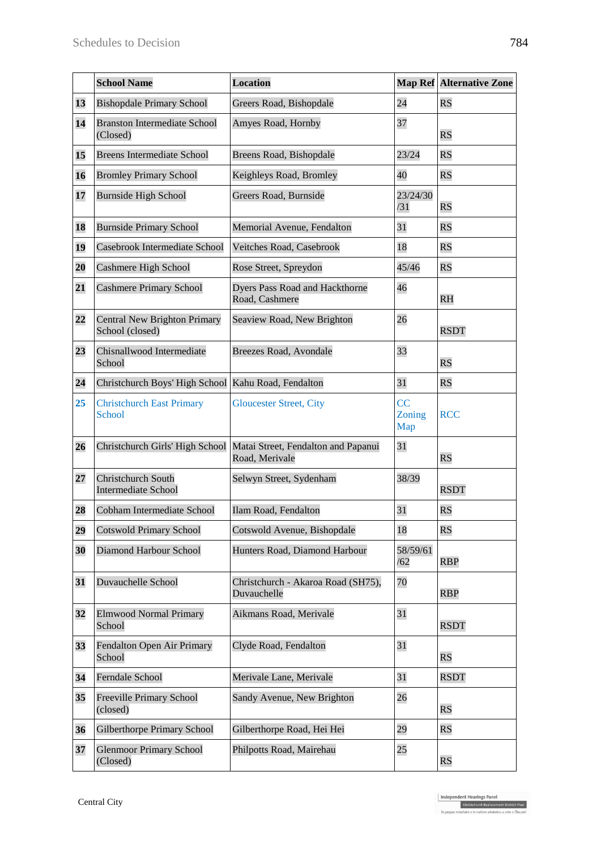|                 | <b>School Name</b>                                                     | <b>Location</b>                                         |                     | <b>Map Ref Alternative Zone</b> |
|-----------------|------------------------------------------------------------------------|---------------------------------------------------------|---------------------|---------------------------------|
| 13              | <b>Bishopdale Primary School</b>                                       | 24<br>Greers Road, Bishopdale                           |                     | RS                              |
| 14              | <b>Branston Intermediate School</b><br>Amyes Road, Hornby<br>(Closed)  |                                                         | 37                  | RS                              |
| 15              | <b>Breens Intermediate School</b>                                      | Breens Road, Bishopdale                                 | 23/24               | $\overline{\text{RS}}$          |
| 16              | <b>Bromley Primary School</b>                                          | Keighleys Road, Bromley                                 | 40                  | RS                              |
| 17              | <b>Burnside High School</b>                                            | Greers Road, Burnside                                   | 23/24/30<br>/31     | RS                              |
| 18              | <b>Burnside Primary School</b>                                         | Memorial Avenue, Fendalton                              | 31                  | $\overline{\text{RS}}$          |
| 19              | Casebrook Intermediate School                                          | Veitches Road, Casebrook                                | 18                  | RS                              |
| 20              | <b>Cashmere High School</b>                                            | Rose Street, Spreydon                                   | 45/46               | $\overline{\text{RS}}$          |
| 21              | <b>Cashmere Primary School</b>                                         | <b>Dyers Pass Road and Hackthorne</b><br>Road, Cashmere | 46                  | <b>RH</b>                       |
| $\overline{22}$ | Central New Brighton Primary<br>School (closed)                        | Seaview Road, New Brighton                              | 26                  | <b>RSDT</b>                     |
| 23              | Chisnallwood Intermediate<br>School                                    | Breezes Road, Avondale                                  | 33                  | $\overline{\text{RS}}$          |
| 24              | Christchurch Boys' High School                                         | Kahu Road, Fendalton                                    | 31                  | $\overline{\text{RS}}$          |
| 25              | <b>Christchurch East Primary</b><br>School                             | <b>Gloucester Street, City</b>                          | CC<br>Zoning<br>Map | <b>RCC</b>                      |
| 26              | Christchurch Girls' High School                                        | Matai Street, Fendalton and Papanui<br>Road, Merivale   | 31                  | RS                              |
| 27              | Christchurch South<br><b>Intermediate School</b>                       | Selwyn Street, Sydenham                                 | 38/39               | <b>RSDT</b>                     |
| 28              | Cobham Intermediate School                                             | Ilam Road, Fendalton                                    | 31                  | $\overline{\text{RS}}$          |
| 29              | <b>Cotswold Primary School</b>                                         | Cotswold Avenue, Bishopdale                             | 18                  | RS                              |
| 30              | Diamond Harbour School                                                 | Hunters Road, Diamond Harbour                           | 58/59/61<br>/62     | <b>RBP</b>                      |
| 31              | Duvauchelle School                                                     | Christchurch - Akaroa Road (SH75),<br>Duvauchelle       | 70                  | <b>RBP</b>                      |
| 32              | <b>Elmwood Normal Primary</b><br>School                                | Aikmans Road, Merivale                                  | 31                  | <b>RSDT</b>                     |
| 33              | Fendalton Open Air Primary<br>School                                   | Clyde Road, Fendalton                                   | 31                  | RS                              |
| 34              | Ferndale School                                                        | Merivale Lane, Merivale                                 | 31                  | <b>RSDT</b>                     |
| 35              | <b>Freeville Primary School</b><br>(closed)                            | Sandy Avenue, New Brighton                              | 26                  | RS                              |
| 36              | <b>Gilberthorpe Primary School</b><br>Gilberthorpe Road, Hei Hei<br>29 |                                                         |                     | $\overline{\text{RS}}$          |
| 37              | <b>Glenmoor Primary School</b><br>(Closed)                             | Philpotts Road, Mairehau                                | 25                  | RS                              |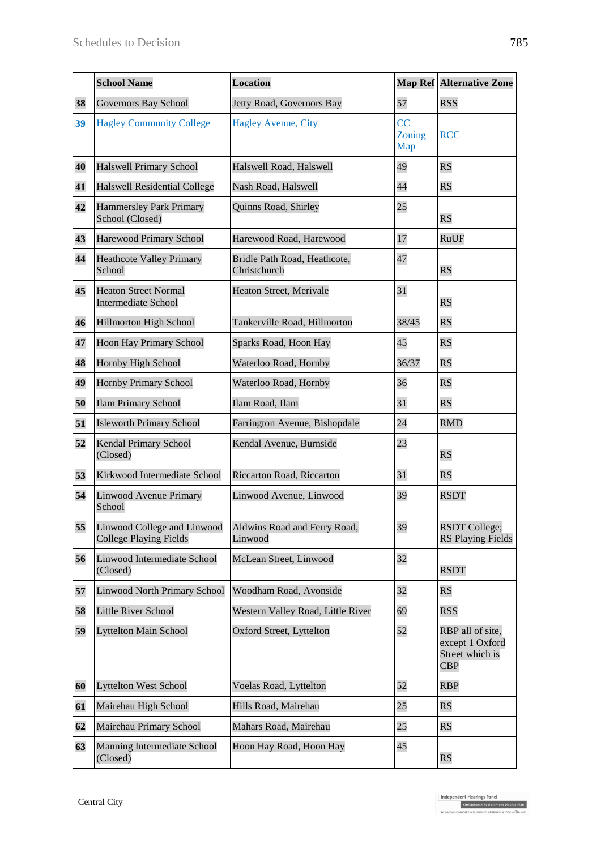|    | <b>School Name</b>                                           | <b>Location</b>                              |                     | <b>Map Ref Alternative Zone</b>                                      |
|----|--------------------------------------------------------------|----------------------------------------------|---------------------|----------------------------------------------------------------------|
| 38 | <b>Governors Bay School</b>                                  | Jetty Road, Governors Bay                    | 57                  | <b>RSS</b>                                                           |
| 39 | <b>Hagley Community College</b>                              | <b>Hagley Avenue, City</b>                   | CC<br>Zoning<br>Map | <b>RCC</b>                                                           |
| 40 | <b>Halswell Primary School</b>                               | Halswell Road, Halswell                      | 49                  | <b>RS</b>                                                            |
| 41 | Halswell Residential College                                 | Nash Road, Halswell                          | 44                  | RS                                                                   |
| 42 | <b>Hammersley Park Primary</b><br>School (Closed)            | Quinns Road, Shirley                         | 25                  | RS                                                                   |
| 43 | Harewood Primary School                                      | Harewood Road, Harewood                      | 17                  | <b>RuUF</b>                                                          |
| 44 | <b>Heathcote Valley Primary</b><br>School                    | Bridle Path Road, Heathcote,<br>Christchurch | 47                  | RS                                                                   |
| 45 | <b>Heaton Street Normal</b><br><b>Intermediate School</b>    | Heaton Street, Merivale                      | 31                  | RS                                                                   |
| 46 | <b>Hillmorton High School</b>                                | Tankerville Road, Hillmorton                 | 38/45               | <b>RS</b>                                                            |
| 47 | <b>Hoon Hay Primary School</b>                               | Sparks Road, Hoon Hay                        | 45                  | RS                                                                   |
| 48 | Hornby High School                                           | Waterloo Road, Hornby                        | 36/37               | <b>RS</b>                                                            |
| 49 | <b>Hornby Primary School</b>                                 | Waterloo Road, Hornby                        | 36                  | RS                                                                   |
| 50 | <b>Ilam Primary School</b>                                   | Ilam Road, Ilam                              | 31                  | RS                                                                   |
| 51 | <b>Isleworth Primary School</b>                              | Farrington Avenue, Bishopdale                | 24                  | <b>RMD</b>                                                           |
| 52 | Kendal Primary School<br>(Closed)                            | Kendal Avenue, Burnside                      | 23                  | $\overline{\text{RS}}$                                               |
| 53 | Kirkwood Intermediate School                                 | Riccarton Road, Riccarton                    | 31                  | RS                                                                   |
| 54 | Linwood Avenue Primary<br>School                             | Linwood Avenue, Linwood                      | 39                  | <b>RSDT</b>                                                          |
| 55 | Linwood College and Linwood<br><b>College Playing Fields</b> | Aldwins Road and Ferry Road,<br>Linwood      | 39                  | <b>RSDT College;</b><br><b>RS Playing Fields</b>                     |
| 56 | <b>Linwood Intermediate School</b><br>(Closed)               | McLean Street, Linwood                       | 32                  | <b>RSDT</b>                                                          |
| 57 | <b>Linwood North Primary School</b>                          | Woodham Road, Avonside                       | 32                  | RS                                                                   |
| 58 | <b>Little River School</b>                                   | Western Valley Road, Little River            | 69                  | <b>RSS</b>                                                           |
| 59 | <b>Lyttelton Main School</b>                                 | <b>Oxford Street, Lyttelton</b>              | 52                  | RBP all of site,<br>except 1 Oxford<br>Street which is<br><b>CBP</b> |
| 60 | <b>Lyttelton West School</b>                                 | Voelas Road, Lyttelton                       | 52                  | <b>RBP</b>                                                           |
| 61 | Mairehau High School                                         | Hills Road, Mairehau                         | 25                  | RS                                                                   |
| 62 | Mairehau Primary School                                      | Mahars Road, Mairehau                        | 25                  | RS                                                                   |
| 63 | Manning Intermediate School<br>(Closed)                      | Hoon Hay Road, Hoon Hay                      | 45                  | RS                                                                   |

Independent Hearings Panel<br>Christchurch Replacement District Plan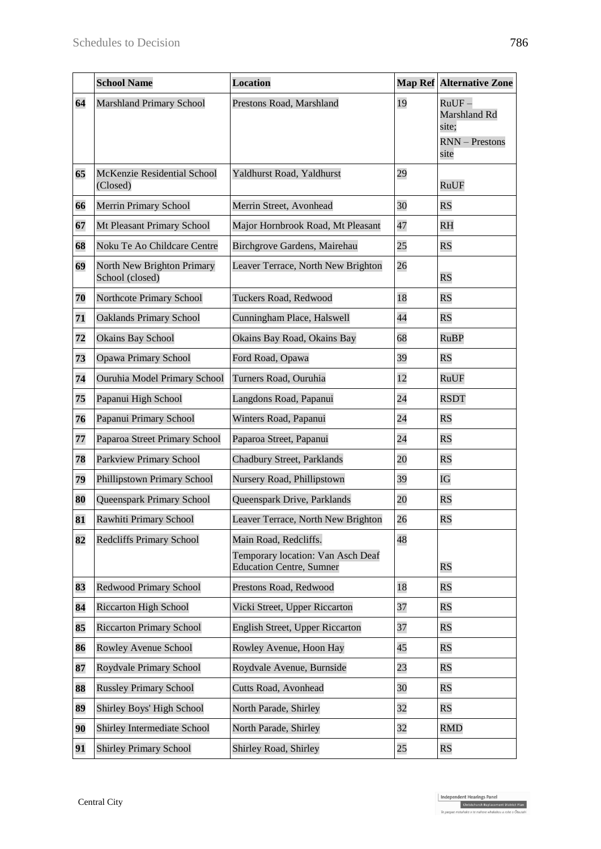|    | <b>School Name</b>                            | <b>Location</b>                                                                               |    | <b>Map Ref Alternative Zone</b>                                    |
|----|-----------------------------------------------|-----------------------------------------------------------------------------------------------|----|--------------------------------------------------------------------|
| 64 | <b>Marshland Primary School</b>               | Prestons Road, Marshland                                                                      | 19 | $RuUF -$<br>Marshland Rd<br>site;<br><b>RNN</b> – Prestons<br>site |
| 65 | McKenzie Residential School<br>(Closed)       | Yaldhurst Road, Yaldhurst                                                                     | 29 | RuUF                                                               |
| 66 | <b>Merrin Primary School</b>                  | Merrin Street, Avonhead                                                                       | 30 | $\overline{\text{RS}}$                                             |
| 67 | Mt Pleasant Primary School                    | Major Hornbrook Road, Mt Pleasant                                                             | 47 | R <sub>H</sub>                                                     |
| 68 | Noku Te Ao Childcare Centre                   | Birchgrove Gardens, Mairehau                                                                  | 25 | RS                                                                 |
| 69 | North New Brighton Primary<br>School (closed) | Leaver Terrace, North New Brighton                                                            | 26 | RS                                                                 |
| 70 | Northcote Primary School                      | Tuckers Road, Redwood                                                                         | 18 | $\overline{\mathrm{RS}}$                                           |
| 71 | <b>Oaklands Primary School</b>                | Cunningham Place, Halswell                                                                    | 44 | RS                                                                 |
| 72 | <b>Okains Bay School</b>                      | Okains Bay Road, Okains Bay                                                                   | 68 | RuBP                                                               |
| 73 | <b>Opawa Primary School</b>                   | Ford Road, Opawa                                                                              | 39 | $\overline{\mathrm{RS}}$                                           |
| 74 | Ouruhia Model Primary School                  | Turners Road, Ouruhia                                                                         | 12 | <b>RuUF</b>                                                        |
| 75 | Papanui High School                           | Langdons Road, Papanui                                                                        | 24 | <b>RSDT</b>                                                        |
| 76 | Papanui Primary School                        | Winters Road, Papanui                                                                         | 24 | $\overline{\text{RS}}$                                             |
| 77 | Paparoa Street Primary School                 | Paparoa Street, Papanui                                                                       | 24 | RS                                                                 |
| 78 | Parkview Primary School                       | Chadbury Street, Parklands                                                                    | 20 | RS                                                                 |
| 79 | Phillipstown Primary School                   | Nursery Road, Phillipstown                                                                    | 39 | IG                                                                 |
| 80 | Queenspark Primary School                     | Queenspark Drive, Parklands                                                                   | 20 | RS                                                                 |
| 81 | Rawhiti Primary School                        | Leaver Terrace, North New Brighton                                                            | 26 | RS                                                                 |
| 82 | <b>Redcliffs Primary School</b>               | Main Road, Redcliffs.<br>Temporary location: Van Asch Deaf<br><b>Education Centre, Sumner</b> | 48 | $\overline{\text{RS}}$                                             |
| 83 | <b>Redwood Primary School</b>                 | Prestons Road, Redwood                                                                        | 18 | $\overline{\text{RS}}$                                             |
| 84 | <b>Riccarton High School</b>                  | Vicki Street, Upper Riccarton                                                                 | 37 | $\overline{\text{RS}}$                                             |
| 85 | <b>Riccarton Primary School</b>               | English Street, Upper Riccarton                                                               | 37 | RS                                                                 |
| 86 | Rowley Avenue School                          | Rowley Avenue, Hoon Hay                                                                       | 45 | $\overline{\text{RS}}$                                             |
| 87 | Roydvale Primary School                       | Roydvale Avenue, Burnside                                                                     | 23 | RS                                                                 |
| 88 | <b>Russley Primary School</b>                 | Cutts Road, Avonhead                                                                          | 30 | $\overline{\text{RS}}$                                             |
| 89 | Shirley Boys' High School                     | North Parade, Shirley                                                                         | 32 | $\overline{\text{RS}}$                                             |
| 90 | Shirley Intermediate School                   | North Parade, Shirley                                                                         | 32 | <b>RMD</b>                                                         |
| 91 | <b>Shirley Primary School</b>                 | Shirley Road, Shirley                                                                         | 25 | RS                                                                 |

Independent Hearings Panel<br>Christchurch Replacement District Plan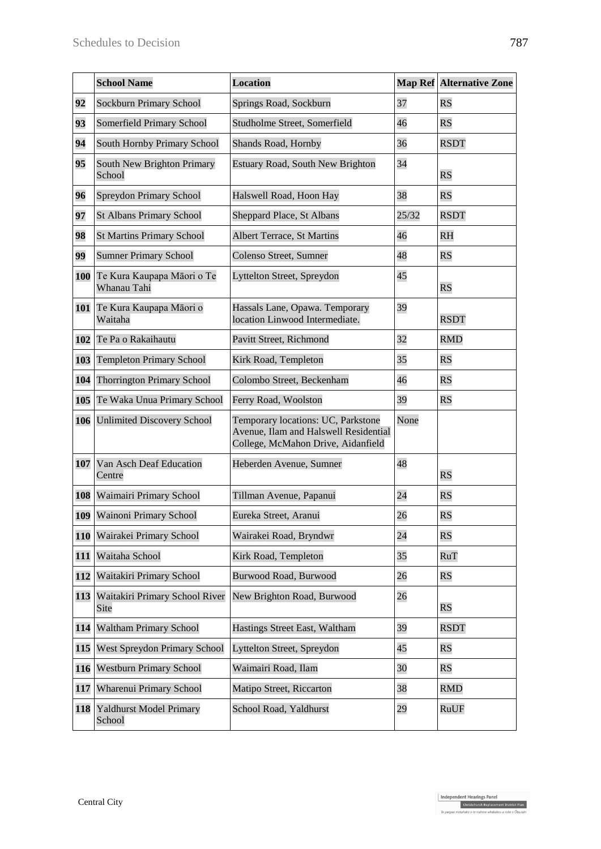|     | <b>School Name</b>                        | <b>Location</b>                                                                                                   |       | <b>Map Ref Alternative Zone</b> |
|-----|-------------------------------------------|-------------------------------------------------------------------------------------------------------------------|-------|---------------------------------|
| 92  | <b>Sockburn Primary School</b>            | Springs Road, Sockburn                                                                                            | 37    | <b>RS</b>                       |
| 93  | Somerfield Primary School                 | Studholme Street, Somerfield                                                                                      | 46    | $\overline{\text{RS}}$          |
| 94  | South Hornby Primary School               | Shands Road, Hornby                                                                                               | 36    | <b>RSDT</b>                     |
| 95  | South New Brighton Primary<br>School      | Estuary Road, South New Brighton                                                                                  | 34    | RS                              |
| 96  | <b>Spreydon Primary School</b>            | Halswell Road, Hoon Hay                                                                                           | 38    | $\overline{\text{RS}}$          |
| 97  | <b>St Albans Primary School</b>           | Sheppard Place, St Albans                                                                                         | 25/32 | <b>RSDT</b>                     |
| 98  | <b>St Martins Primary School</b>          | <b>Albert Terrace, St Martins</b>                                                                                 | 46    | R <sub>H</sub>                  |
| 99  | <b>Sumner Primary School</b>              | Colenso Street, Sumner                                                                                            | 48    | $\overline{\text{RS}}$          |
| 100 | Te Kura Kaupapa Māori o Te<br>Whanau Tahi | Lyttelton Street, Spreydon                                                                                        | 45    | <b>RS</b>                       |
| 101 | Te Kura Kaupapa Māori o<br>Waitaha        | Hassals Lane, Opawa. Temporary<br>location Linwood Intermediate.                                                  | 39    | <b>RSDT</b>                     |
| 102 | Te Pa o Rakaihautu                        | Pavitt Street, Richmond                                                                                           | 32    | <b>RMD</b>                      |
| 103 | <b>Templeton Primary School</b>           | Kirk Road, Templeton                                                                                              | 35    | RS                              |
| 104 | <b>Thorrington Primary School</b>         | Colombo Street, Beckenham                                                                                         | 46    | RS                              |
| 105 | Te Waka Unua Primary School               | Ferry Road, Woolston                                                                                              | 39    | RS                              |
| 106 | <b>Unlimited Discovery School</b>         | Temporary locations: UC, Parkstone<br>Avenue, Ilam and Halswell Residential<br>College, McMahon Drive, Aidanfield | None  |                                 |
| 107 | Van Asch Deaf Education<br>Centre         | Heberden Avenue, Sumner                                                                                           | 48    | <b>RS</b>                       |
| 108 | Waimairi Primary School                   | Tillman Avenue, Papanui                                                                                           | 24    | RS                              |
| 109 | Wainoni Primary School                    | Eureka Street, Aranui                                                                                             | 26    | RS                              |
| 110 | Wairakei Primary School                   | Wairakei Road, Bryndwr                                                                                            | 24    | RS                              |
| 111 | Waitaha School                            | Kirk Road, Templeton                                                                                              | 35    | RuT                             |
| 112 | Waitakiri Primary School                  | Burwood Road, Burwood                                                                                             | 26    | RS                              |
| 113 | Waitakiri Primary School River<br>Site    | New Brighton Road, Burwood                                                                                        | 26    | RS                              |
| 114 | <b>Waltham Primary School</b>             | Hastings Street East, Waltham                                                                                     | 39    | <b>RSDT</b>                     |
| 115 | West Spreydon Primary School              | Lyttelton Street, Spreydon                                                                                        | 45    | RS                              |
| 116 | <b>Westburn Primary School</b>            | Waimairi Road, Ilam                                                                                               | 30    | RS                              |
| 117 | Wharenui Primary School                   | Matipo Street, Riccarton                                                                                          | 38    | <b>RMD</b>                      |
| 118 | <b>Yaldhurst Model Primary</b><br>School  | School Road, Yaldhurst                                                                                            | 29    | RuUF                            |

Independent Hearings Panel<br>Christchurch Replacement District Plan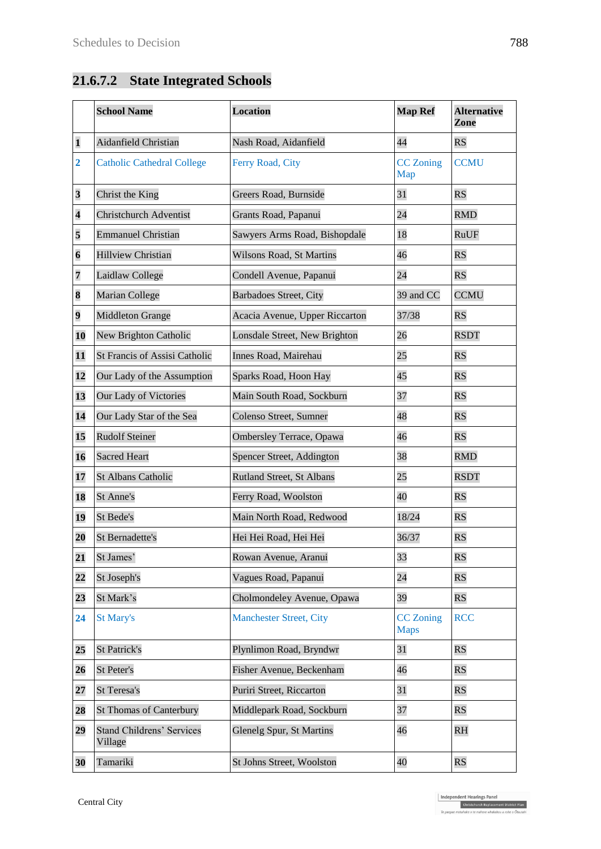# **21.6.7.2 State Integrated Schools**

|                         | <b>School Name</b>                          | <b>Location</b>                 | <b>Map Ref</b>                  | <b>Alternative</b><br>Zone |
|-------------------------|---------------------------------------------|---------------------------------|---------------------------------|----------------------------|
| $\mathbf{1}$            | Aidanfield Christian                        | Nash Road, Aidanfield           | 44                              | <b>RS</b>                  |
| $\overline{2}$          | <b>Catholic Cathedral College</b>           | Ferry Road, City                | <b>CC</b> Zoning<br>Map         | <b>CCMU</b>                |
| 3                       | Christ the King                             | Greers Road, Burnside           | 31                              | <b>RS</b>                  |
| $\overline{\mathbf{4}}$ | <b>Christchurch Adventist</b>               | Grants Road, Papanui            | 24                              | <b>RMD</b>                 |
| 5                       | <b>Emmanuel Christian</b>                   | Sawyers Arms Road, Bishopdale   | 18                              | RuUF                       |
| $\boldsymbol{6}$        | <b>Hillview Christian</b>                   | Wilsons Road, St Martins        | 46                              | <b>RS</b>                  |
| 7                       | Laidlaw College                             | Condell Avenue, Papanui         | 24                              | <b>RS</b>                  |
| 8                       | Marian College                              | <b>Barbadoes Street, City</b>   | 39 and CC                       | <b>CCMU</b>                |
| 9                       | <b>Middleton Grange</b>                     | Acacia Avenue, Upper Riccarton  | 37/38                           | <b>RS</b>                  |
| 10                      | <b>New Brighton Catholic</b>                | Lonsdale Street, New Brighton   | 26                              | <b>RSDT</b>                |
| 11                      | <b>St Francis of Assisi Catholic</b>        | Innes Road, Mairehau            | 25                              | <b>RS</b>                  |
| 12                      | Our Lady of the Assumption                  | Sparks Road, Hoon Hay           | 45                              | <b>RS</b>                  |
| 13                      | Our Lady of Victories                       | Main South Road, Sockburn       | 37                              | <b>RS</b>                  |
| 14                      | Our Lady Star of the Sea                    | Colenso Street, Sumner          | 48                              | <b>RS</b>                  |
| 15                      | <b>Rudolf Steiner</b>                       | <b>Ombersley Terrace, Opawa</b> | 46                              | <b>RS</b>                  |
| 16                      | <b>Sacred Heart</b>                         | Spencer Street, Addington       | 38                              | <b>RMD</b>                 |
| 17                      | <b>St Albans Catholic</b>                   | Rutland Street, St Albans       | 25                              | <b>RSDT</b>                |
| 18                      | St Anne's                                   | Ferry Road, Woolston            | 40                              | <b>RS</b>                  |
| 19                      | St Bede's                                   | Main North Road, Redwood        | 18/24                           | <b>RS</b>                  |
| 20                      | <b>St Bernadette's</b>                      | Hei Hei Road, Hei Hei           | 36/37                           | <b>RS</b>                  |
| 21                      | St James'                                   | Rowan Avenue, Aranui            | 33                              | <b>RS</b>                  |
| $\overline{22}$         | St Joseph's                                 | Vagues Road, Papanui            | 24                              | <b>RS</b>                  |
| 23                      | St Mark's                                   | Cholmondeley Avenue, Opawa      | 39                              | <b>RS</b>                  |
| 24                      | <b>St Mary's</b>                            | <b>Manchester Street, City</b>  | <b>CC</b> Zoning<br><b>Maps</b> | <b>RCC</b>                 |
| 25                      | <b>St Patrick's</b>                         | Plynlimon Road, Bryndwr         | 31                              | <b>RS</b>                  |
| 26                      | St Peter's                                  | Fisher Avenue, Beckenham        | 46                              | <b>RS</b>                  |
| 27                      | <b>St Teresa's</b>                          | Puriri Street, Riccarton        | 31                              | <b>RS</b>                  |
| 28                      | <b>St Thomas of Canterbury</b>              | Middlepark Road, Sockburn       | 37                              | <b>RS</b>                  |
| 29                      | <b>Stand Childrens' Services</b><br>Village | <b>Glenelg Spur, St Martins</b> | 46                              | <b>RH</b>                  |
| 30                      | Tamariki                                    | St Johns Street, Woolston       | 40                              | <b>RS</b>                  |